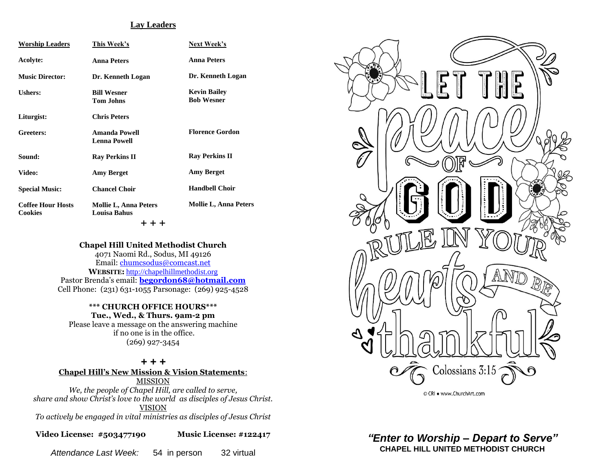#### **Lay Leaders**

| <b>Worship Leaders</b>                     | This Week's                                         | Next Week's                              |
|--------------------------------------------|-----------------------------------------------------|------------------------------------------|
| Acolyte:                                   | <b>Anna Peters</b>                                  | <b>Anna Peters</b>                       |
| <b>Music Director:</b>                     | Dr. Kenneth Logan                                   | Dr. Kenneth Logan                        |
| Ushers:                                    | <b>Bill Wesner</b><br><b>Tom Johns</b>              | <b>Kevin Bailey</b><br><b>Bob Wesner</b> |
| Liturgist:                                 | <b>Chris Peters</b>                                 |                                          |
| Greeters:                                  | Amanda Powell<br><b>Lenna Powell</b>                | <b>Florence Gordon</b>                   |
| Sound:                                     | <b>Ray Perkins II</b>                               | <b>Ray Perkins II</b>                    |
| Video:                                     | <b>Amy Berget</b>                                   | <b>Amy Berget</b>                        |
| <b>Special Music:</b>                      | <b>Chancel Choir</b>                                | <b>Handbell Choir</b>                    |
| <b>Coffee Hour Hosts</b><br><b>Cookies</b> | <b>Mollie L, Anna Peters</b><br><b>Louisa Bahus</b> | <b>Mollie L, Anna Peters</b>             |
|                                            | + + +                                               |                                          |

#### **Chapel Hill United Methodist Church**

4071 Naomi Rd., Sodus, MI 49126 Email: [chumcsodus@comcast.net](mailto:chumcsodus@comcast.net) **WEBSITE:** [http://chapelhillmethodist.org](http://chapelhillmethodist.org/) Pastor Brenda's email: **[begordon68@hotmail.com](mailto:begordon68@hotmail.com)** Cell Phone: (231) 631-1055 Parsonage: (269) 925-4528

### **\*\*\* CHURCH OFFICE HOURS\*\*\* Tue., Wed., & Thurs. 9am-2 pm**

Please leave a message on the answering machine if no one is in the office. (269) 927-3454

#### *+ + +* **Chapel Hill's New Mission & Vision Statements**: MISSION *We, the people of Chapel Hill, are called to serve, share and show Christ's love to the world as disciples of Jesus Christ.* VISION *To actively be engaged in vital ministries as disciples of Jesus Christ*

**Video License: #503477190 Music License: #122417**

*Attendance Last Week:* 54 in person 32 virtual



© CRI . www.ChurchArt.com

*"Enter to Worship – Depart to Serve"* **CHAPEL HILL UNITED METHODIST CHURCH**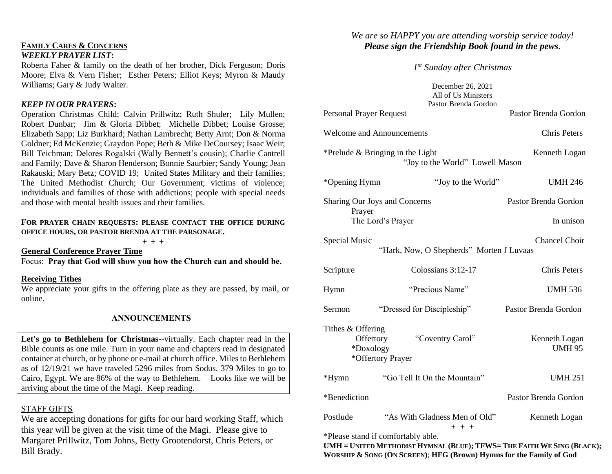## **FAMILY CARES & CONCERNS**

### *WEEKLY PRAYER LIST***:**

Roberta Faher & family on the death of her brother, Dick Ferguson; Doris Moore; Elva & Vern Fisher; Esther Peters; Elliot Keys; Myron & Maudy Williams; Gary & Judy Walter.

### *KEEP IN OUR PRAYERS***:**

Operation Christmas Child; Calvin Prillwitz; Ruth Shuler; Lily Mullen; Robert Dunbar; Jim & Gloria Dibbet; Michelle Dibbet; Louise Grosse; Elizabeth Sapp; Liz Burkhard; Nathan Lambrecht; Betty Arnt; Don & Norma Goldner; Ed McKenzie; Graydon Pope; Beth & Mike DeCoursey; Isaac Weir; Bill Teichman; Delores Rogalski (Wally Bennett's cousin); Charlie Cantrell and Family; Dave & Sharon Henderson; Bonnie Saurbier; Sandy Young; Jean Rakauski; Mary Betz; COVID 19; United States Military and their families; The United Methodist Church; Our Government; victims of violence; individuals and families of those with addictions; people with special needs and those with mental health issues and their families.

### **FOR PRAYER CHAIN REQUESTS: PLEASE CONTACT THE OFFICE DURING OFFICE HOURS, OR PASTOR BRENDA AT THE PARSONAGE.**

**+ + +**

**General Conference Prayer Time** Focus: **Pray that God will show you how the Church can and should be.**

### **Receiving Tithes**

We appreciate your gifts in the offering plate as they are passed, by mail, or online.

## **ANNOUNCEMENTS**

**Let's go to Bethlehem for Christmas**--virtually. Each chapter read in the Bible counts as one mile. Turn in your name and chapters read in designated container at church, or by phone or e-mail at church office. Miles to Bethlehem as of 12/19/21 we have traveled 5296 miles from Sodus. 379 Miles to go to Cairo, Egypt. We are 86% of the way to Bethlehem. Looks like we will be arriving about the time of the Magi. Keep reading.

## STAFF GIFTS

We are accepting donations for gifts for our hard working Staff, which this year will be given at the visit time of the Magi. Please give to Margaret Prillwitz, Tom Johns, Betty Grootendorst, Chris Peters, or Bill Brady.

# *We are so HAPPY you are attending worship service today! Please sign the Friendship Book found in the pews.*

*1 st Sunday after Christmas*

December 26, 2021 All of Us Ministers Pastor Brenda Gordon Personal Prayer Request Pastor Brenda Gordon Welcome and Announcements Chris Peters \*Prelude & Bringing in the Light Kenneth Logan "Joy to the World" Lowell Mason \*Opening Hymn "Joy to the World" UMH 246 Sharing Our Joys and Concerns Pastor Brenda Gordon Prayer The Lord's Prayer In unison Special Music Chancel Choir "Hark, Now, O Shepherds" Morten J Luvaas Scripture Colossians 3:12-17 Chris Peters Hymn "Precious Name" UMH 536 Sermon "Dressed for Discipleship" Pastor Brenda Gordon Tithes & Offering Offertory "Coventry Carol" Kenneth Logan \*Doxology UMH 95 \*Offertory Prayer \*Hymn "Go Tell It On the Mountain" UMH 251 \*Benediction Pastor Brenda Gordon Postlude "As With Gladness Men of Old" Kenneth Logan  $+ + +$ 

\*Please stand if comfortably able.

UMH = UNITED METHODIST HYMNAL (BLUE); TFWS= THE FAITH WE SING (BLACK); **WORSHIP & SONG (ON SCREEN)**; **HFG (Brown) Hymns for the Family of God**